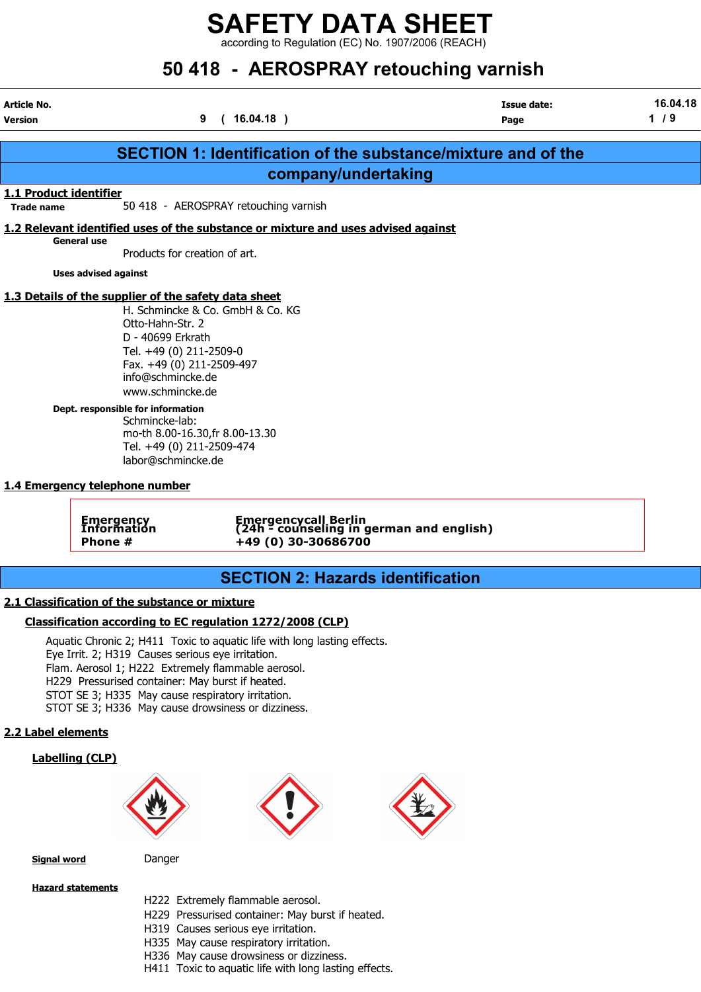according to Regulation (EC) No. 1907/2006 (REACH)

## 50 418 - AEROSPRAY retouching varnish

| Article No.<br><b>Version</b> |                                                                                                                                                                                                                                                                                                                                  | 9<br>(16.04.18)                                                                            |                                                                      | Issue date:<br>Page | 16.04.18<br>$1/9$ |
|-------------------------------|----------------------------------------------------------------------------------------------------------------------------------------------------------------------------------------------------------------------------------------------------------------------------------------------------------------------------------|--------------------------------------------------------------------------------------------|----------------------------------------------------------------------|---------------------|-------------------|
|                               |                                                                                                                                                                                                                                                                                                                                  |                                                                                            | <b>SECTION 1: Identification of the substance/mixture and of the</b> |                     |                   |
|                               |                                                                                                                                                                                                                                                                                                                                  |                                                                                            | company/undertaking                                                  |                     |                   |
| 1.1 Product identifier        |                                                                                                                                                                                                                                                                                                                                  |                                                                                            |                                                                      |                     |                   |
| <b>Trade name</b>             |                                                                                                                                                                                                                                                                                                                                  | 50 418 - AEROSPRAY retouching varnish                                                      |                                                                      |                     |                   |
|                               |                                                                                                                                                                                                                                                                                                                                  | 1.2 Relevant identified uses of the substance or mixture and uses advised against          |                                                                      |                     |                   |
|                               | <b>General use</b><br>Products for creation of art.                                                                                                                                                                                                                                                                              |                                                                                            |                                                                      |                     |                   |
|                               | <b>Uses advised against</b>                                                                                                                                                                                                                                                                                                      |                                                                                            |                                                                      |                     |                   |
|                               | 1.3 Details of the supplier of the safety data sheet                                                                                                                                                                                                                                                                             |                                                                                            |                                                                      |                     |                   |
|                               | Otto-Hahn-Str. 2<br>D - 40699 Erkrath<br>Tel. +49 (0) 211-2509-0<br>Fax. +49 (0) 211-2509-497<br>info@schmincke.de<br>www.schmincke.de<br>Dept. responsible for information<br>Schmincke-lab:<br>Tel. +49 (0) 211-2509-474<br>labor@schmincke.de<br>1.4 Emergency telephone number<br><b>Emergency</b><br>Information<br>Phone # | H. Schmincke & Co. GmbH & Co. KG<br>mo-th 8.00-16.30, fr 8.00-13.30<br>+49 (0) 30-30686700 | Emergencycall Berlin<br>(24h - counseling in german and english)     |                     |                   |
|                               |                                                                                                                                                                                                                                                                                                                                  |                                                                                            | <b>SECTION 2: Hazards identification</b>                             |                     |                   |
|                               | 2.1 Classification of the substance or mixture                                                                                                                                                                                                                                                                                   |                                                                                            |                                                                      |                     |                   |
|                               |                                                                                                                                                                                                                                                                                                                                  |                                                                                            |                                                                      |                     |                   |
|                               |                                                                                                                                                                                                                                                                                                                                  | Classification according to EC regulation 1272/2008 (CLP)                                  |                                                                      |                     |                   |
|                               | Eye Irrit. 2; H319 Causes serious eye irritation.<br>Flam. Aerosol 1; H222 Extremely flammable aerosol.<br>H229 Pressurised container: May burst if heated.<br>STOT SE 3; H335 May cause respiratory irritation.<br>STOT SE 3; H336 May cause drowsiness or dizziness.                                                           | Aquatic Chronic 2; H411 Toxic to aquatic life with long lasting effects.                   |                                                                      |                     |                   |
| 2.2 Label elements            |                                                                                                                                                                                                                                                                                                                                  |                                                                                            |                                                                      |                     |                   |
|                               | <b>Labelling (CLP)</b>                                                                                                                                                                                                                                                                                                           |                                                                                            |                                                                      |                     |                   |

Signal word Danger

Hazard statements

H222 Extremely flammable aerosol.

- H229 Pressurised container: May burst if heated.
- H319 Causes serious eye irritation.
- H335 May cause respiratory irritation.
- H336 May cause drowsiness or dizziness.
- H411 Toxic to aquatic life with long lasting effects.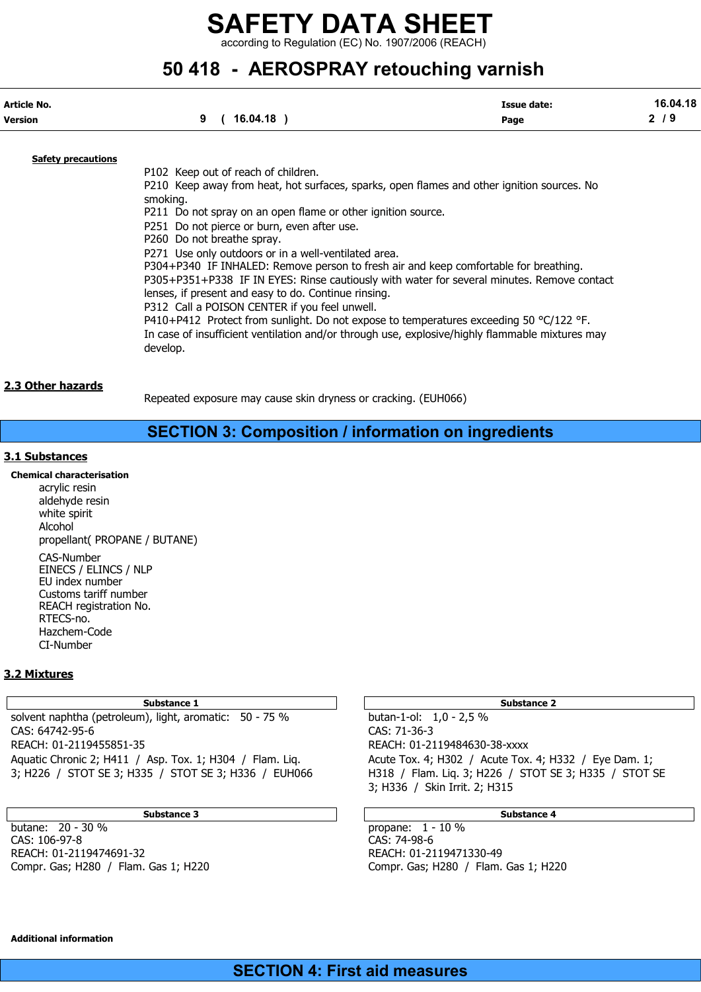according to Regulation (EC) No. 1907/2006 (REACH)

### 50 418 - AEROSPRAY retouching varnish

| Article No.               | 16.04.18 | <b>Issue date:</b> | 16.04.18 |
|---------------------------|----------|--------------------|----------|
| Version                   | 9        | Page               | 2/9      |
| <b>Safety precautions</b> |          |                    |          |

P102 Keep out of reach of children. P210 Keep away from heat, hot surfaces, sparks, open flames and other ignition sources. No smoking. P211 Do not spray on an open flame or other ignition source. P251 Do not pierce or burn, even after use. P260 Do not breathe spray. P271 Use only outdoors or in a well-ventilated area. P304+P340 IF INHALED: Remove person to fresh air and keep comfortable for breathing. P305+P351+P338 IF IN EYES: Rinse cautiously with water for several minutes. Remove contact lenses, if present and easy to do. Continue rinsing. P312 Call a POISON CENTER if you feel unwell. P410+P412 Protect from sunlight. Do not expose to temperatures exceeding 50 °C/122 °F. In case of insufficient ventilation and/or through use, explosive/highly flammable mixtures may develop.

#### 2.3 Other hazards

Repeated exposure may cause skin dryness or cracking. (EUH066)

#### SECTION 3: Composition / information on ingredients

#### 3.1 Substances

Chemical characterisation acrylic resin aldehyde resin white spirit Alcohol propellant( PROPANE / BUTANE) CAS-Number EINECS / ELINCS / NLP EU index number Customs tariff number REACH registration No. RTECS-no. Hazchem-Code CI-Number

#### 3.2 Mixtures

Substance 1 and 2 Substance 2 and 3 Substance 2 and 3 Substance 2 and 3 Substance 2 and 3 Substance 2

solvent naphtha (petroleum), light, aromatic: 50 - 75 % butan-1-ol: 1,0 - 2,5 % CAS: 64742-95-6 CAS: 71-36-3 REACH: 01-2119455851-35 REACH: 01-2119484630-38-xxxx Aquatic Chronic 2; H411 / Asp. Tox. 1; H304 / Flam. Liq. Acute Tox. 4; H302 / Acute Tox. 4; H332 / Eye Dam. 1; 3; H226 / STOT SE 3; H335 / STOT SE 3; H336 / EUH066 H318 / Flam. Liq. 3; H226 / STOT SE 3; H335 / STOT SE

Substance 3 Substance 4

butane: 20 - 30 % propane: 1 - 10 % CAS: 106-97-8 CAS: 74-98-6 REACH: 01-2119474691-32 REACH: 01-2119471330-49 Compr. Gas; H280 / Flam. Gas 1; H220 Compr. Gas; H280 / Flam. Gas 1; H220

3; H336 / Skin Irrit. 2; H315

Additional information

#### SECTION 4: First aid measures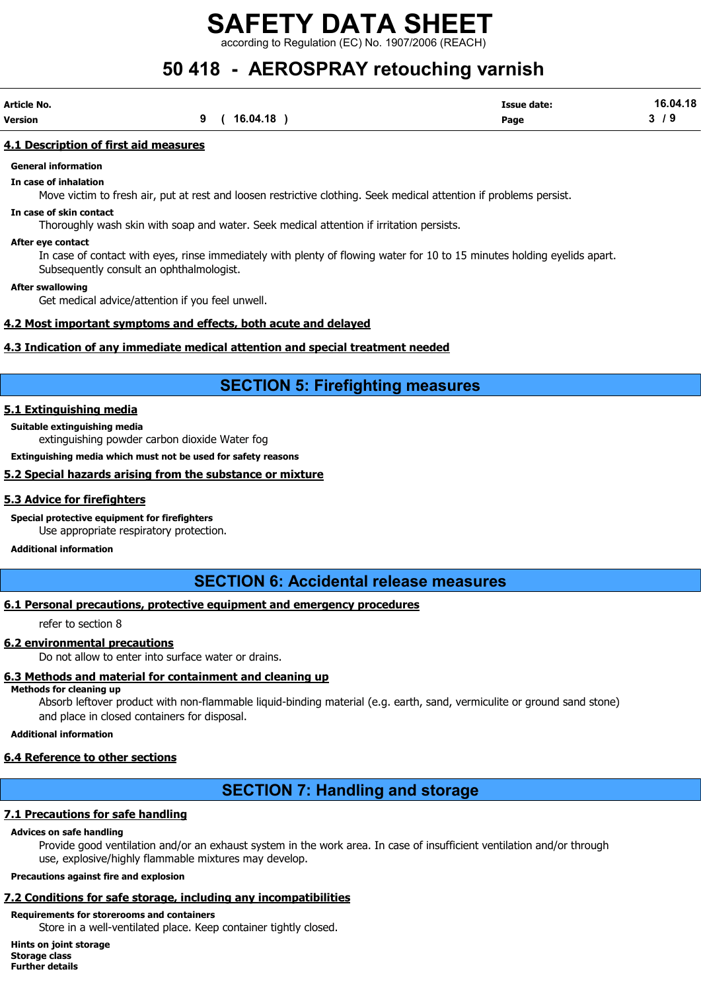ording to Regulation (EC) No. 1907/2006 (REACH)

## 50 418 - AEROSPRAY retouching varnish

| Article No. |          | Issue date:<br>. | 16.04.18 |
|-------------|----------|------------------|----------|
| Version     | 16.04.18 | Page             | ^        |

#### 4.1 Description of first aid measures

#### General information

In case of inhalation

Move victim to fresh air, put at rest and loosen restrictive clothing. Seek medical attention if problems persist.

#### In case of skin contact

Thoroughly wash skin with soap and water. Seek medical attention if irritation persists.

#### After eye contact

In case of contact with eyes, rinse immediately with plenty of flowing water for 10 to 15 minutes holding eyelids apart. Subsequently consult an ophthalmologist.

After swallowing

Get medical advice/attention if you feel unwell.

#### 4.2 Most important symptoms and effects, both acute and delayed

#### 4.3 Indication of any immediate medical attention and special treatment needed

#### SECTION 5: Firefighting measures

#### 5.1 Extinguishing media

#### Suitable extinguishing media

extinguishing powder carbon dioxide Water fog

Extinguishing media which must not be used for safety reasons

#### 5.2 Special hazards arising from the substance or mixture

#### 5.3 Advice for firefighters

Special protective equipment for firefighters

Use appropriate respiratory protection.

#### Additional information

#### SECTION 6: Accidental release measures

#### 6.1 Personal precautions, protective equipment and emergency procedures

refer to section 8

#### 6.2 environmental precautions

Do not allow to enter into surface water or drains.

#### 6.3 Methods and material for containment and cleaning up

Methods for cleaning up

Absorb leftover product with non-flammable liquid-binding material (e.g. earth, sand, vermiculite or ground sand stone) and place in closed containers for disposal.

#### Additional information

#### 6.4 Reference to other sections

### SECTION 7: Handling and storage

#### 7.1 Precautions for safe handling

#### Advices on safe handling

Provide good ventilation and/or an exhaust system in the work area. In case of insufficient ventilation and/or through use, explosive/highly flammable mixtures may develop.

#### Precautions against fire and explosion

#### 7.2 Conditions for safe storage, including any incompatibilities

#### Requirements for storerooms and containers

Store in a well-ventilated place. Keep container tightly closed.

Hints on joint storage Storage class Further details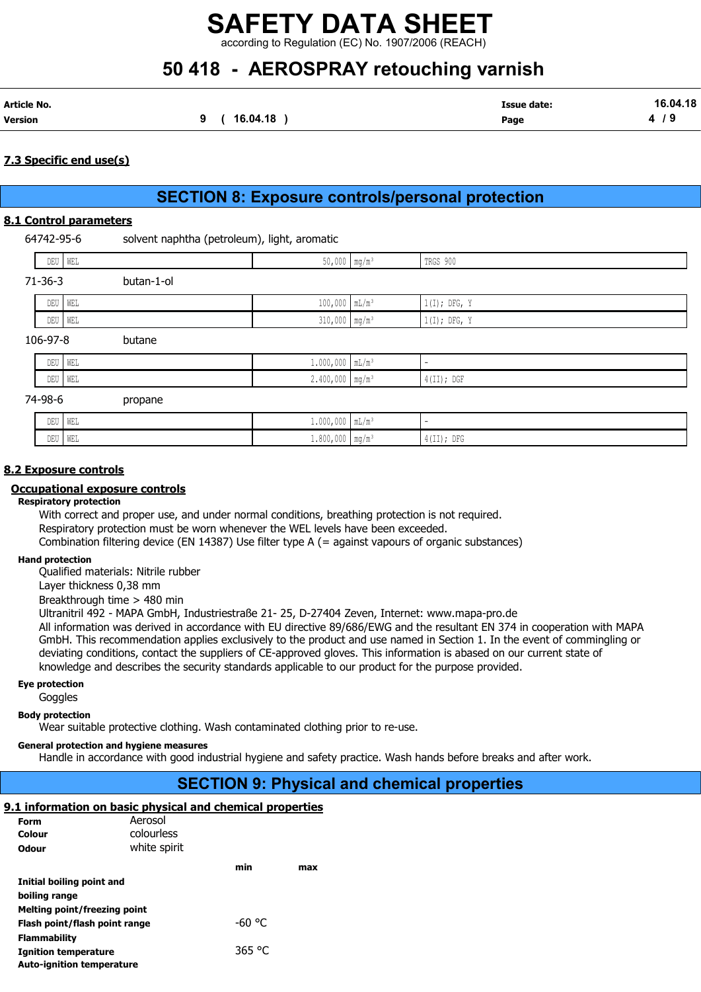according to Regulation (EC) No. 1907/2006 (REACH)

## 50 418 - AEROSPRAY retouching varnish

| Article No. |          | <b>Issue date:</b> | 16.04.18 |
|-------------|----------|--------------------|----------|
| Version     | 16.04.18 | Page               |          |

#### 7.3 Specific end use(s)

### SECTION 8: Exposure controls/personal protection

#### 8.1 Control parameters

64742-95-6 solvent naphtha (petroleum), light, aromatic

|               | DEU WEL    | 50,000 mg/m <sup>3</sup>      | TRGS 900                 |
|---------------|------------|-------------------------------|--------------------------|
| $71 - 36 - 3$ | butan-1-ol |                               |                          |
| DEU           | WEL        | $100,000$ $mL/m^3$            | $1(I);$ DFG, Y           |
|               | DEU WEL    | $310,000$ mg/m <sup>3</sup>   | $1(I);$ DFG, Y           |
| 106-97-8      | butane     |                               |                          |
| DEU           | WEL        | $1.000,000$ $mL/m^3$          | $\overline{\phantom{a}}$ |
|               | DEU WEL    | $2.400,000$ mg/m <sup>3</sup> | $4$ (II); DGF            |
| 74-98-6       | propane    |                               |                          |
| DEU           | WEL        | $1.000,000$ $mL/m^3$          | $\overline{\phantom{a}}$ |
|               |            |                               |                          |

DEU WEL 1.800,000 mg/m³ 4(II); DFG

#### 8.2 Exposure controls

#### Occupational exposure controls

#### Respiratory protection

With correct and proper use, and under normal conditions, breathing protection is not required. Respiratory protection must be worn whenever the WEL levels have been exceeded. Combination filtering device (EN 14387) Use filter type A (= against vapours of organic substances)

#### Hand protection

Qualified materials: Nitrile rubber

Layer thickness 0,38 mm

Breakthrough time > 480 min

Ultranitril 492 - MAPA GmbH, Industriestraße 21- 25, D-27404 Zeven, Internet: www.mapa-pro.de All information was derived in accordance with EU directive 89/686/EWG and the resultant EN 374 in cooperation with MAPA GmbH. This recommendation applies exclusively to the product and use named in Section 1. In the event of commingling or deviating conditions, contact the suppliers of CE-approved gloves. This information is abased on our current state of knowledge and describes the security standards applicable to our product for the purpose provided.

#### Eye protection

**Goggles** 

Body protection

Wear suitable protective clothing. Wash contaminated clothing prior to re-use.

#### General protection and hygiene measures

Handle in accordance with good industrial hygiene and safety practice. Wash hands before breaks and after work.

#### SECTION 9: Physical and chemical properties

#### 9.1 information on basic physical and chemical properties

| Form                             | Aerosol      |        |     |
|----------------------------------|--------------|--------|-----|
| Colour                           | colourless   |        |     |
| Odour                            | white spirit |        |     |
|                                  |              | min    | max |
| Initial boiling point and        |              |        |     |
| boiling range                    |              |        |     |
| Melting point/freezing point     |              |        |     |
| Flash point/flash point range    |              | -60 °C |     |
| <b>Flammability</b>              |              |        |     |
| <b>Ignition temperature</b>      |              | 365 °C |     |
| <b>Auto-ignition temperature</b> |              |        |     |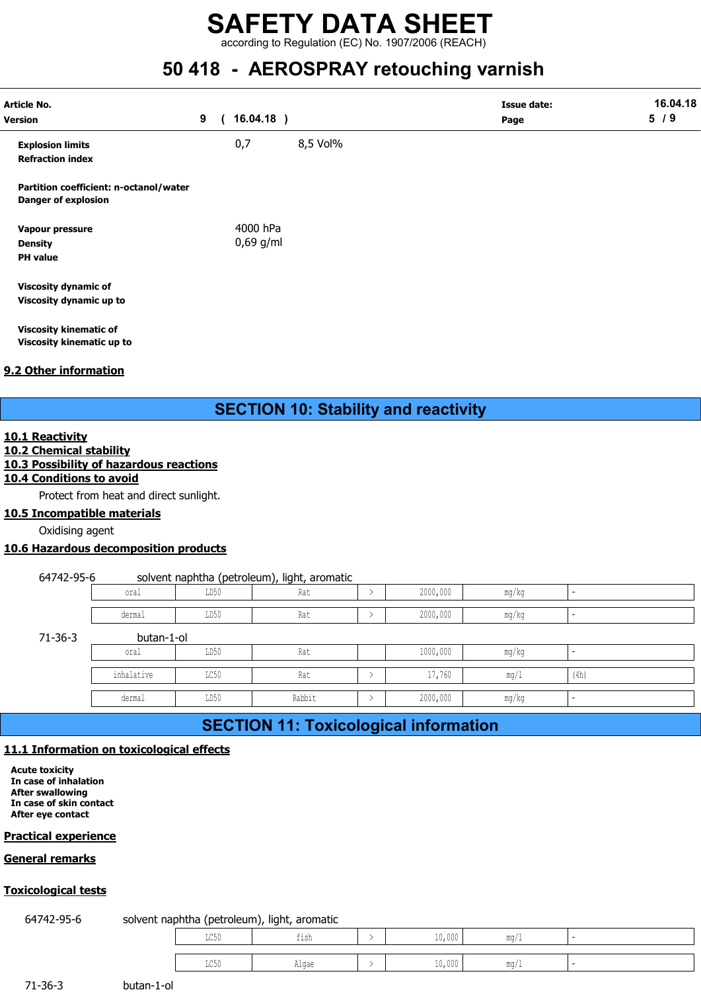according to Regulation (EC) No. 1907/2006 (REACH)

### 50 418 - AEROSPRAY retouching varnish

| <b>Article No.</b><br><b>Version</b>                                 | 9 | $16.04.18$ )            |          | <b>Issue date:</b><br>Page | 16.04.18<br>5/9 |
|----------------------------------------------------------------------|---|-------------------------|----------|----------------------------|-----------------|
| <b>Explosion limits</b><br><b>Refraction index</b>                   |   | 0,7                     | 8,5 Vol% |                            |                 |
| Partition coefficient: n-octanol/water<br><b>Danger of explosion</b> |   |                         |          |                            |                 |
| Vapour pressure<br><b>Density</b><br><b>PH</b> value                 |   | 4000 hPa<br>$0,69$ g/ml |          |                            |                 |
| <b>Viscosity dynamic of</b><br>Viscosity dynamic up to               |   |                         |          |                            |                 |
| <b>Viscosity kinematic of</b><br>Viscosity kinematic up to           |   |                         |          |                            |                 |

#### 9.2 Other information

#### 10.1 Reactivity

#### 10.2 Chemical stability

#### 10.3 Possibility of hazardous reactions

#### 10.4 Conditions to avoid

Protect from heat and direct sunlight.

#### 10.5 Incompatible materials

Oxidising agent

#### 10.6 Hazardous decomposition products

#### 64742-95-6 solvent naphtha (petroleum), light, aromatic

|                              |                       | . .           |                                            |                             |  |
|------------------------------|-----------------------|---------------|--------------------------------------------|-----------------------------|--|
| 0.588<br>∪⊥a⊥                | LD50<br>$\sim$ $\sim$ | $\sim$<br>Kdl | 2000,000<br>$\sim$ $\sim$<br>$\sim$ $\sim$ | $m \sim$<br>шч<br>ن ۱۳۸     |  |
|                              |                       |               |                                            |                             |  |
| . معموم ام<br><b>ACTIFAT</b> | LD50<br>$\sim$ $\sim$ | $\sim$<br>Kdl | 2000,000<br>$\sim$                         | <b>MA OF</b><br>uw<br>1 ISU |  |

 $71 - 36 - 3$ 

| atic of       |                                                     |               |                                                     |               |          |                          |                          |
|---------------|-----------------------------------------------------|---------------|-----------------------------------------------------|---------------|----------|--------------------------|--------------------------|
|               | atic up to                                          |               |                                                     |               |          |                          |                          |
| <u>nation</u> |                                                     |               |                                                     |               |          |                          |                          |
|               |                                                     |               |                                                     |               |          |                          |                          |
|               |                                                     |               | <b>SECTION 10: Stability and reactivity</b>         |               |          |                          |                          |
|               |                                                     |               |                                                     |               |          |                          |                          |
|               | <u>stability</u><br>of hazardous reactions          |               |                                                     |               |          |                          |                          |
|               | <u>i to avoid</u>                                   |               |                                                     |               |          |                          |                          |
|               | m heat and direct sunlight.<br><u>ble materials</u> |               |                                                     |               |          |                          |                          |
| agent         |                                                     |               |                                                     |               |          |                          |                          |
|               | decomposition products                              |               |                                                     |               |          |                          |                          |
| 6             |                                                     |               |                                                     |               |          |                          |                          |
|               | oral                                                | LD50          | solvent naphtha (petroleum), light, aromatic<br>Rat | $\,>\,$       | 2000,000 | mg/kg                    | $\sim$                   |
|               | dermal                                              | LD50          | Rat                                                 | $\,>\,$       | 2000,000 | mg/kg                    | $\sim$                   |
|               | butan-1-ol                                          |               |                                                     |               |          |                          |                          |
|               | oral                                                | LD50          | Rat                                                 |               | 1000,000 | mg/kg                    | $\overline{\phantom{0}}$ |
|               | inhalative                                          | LC50          | Rat                                                 | $\, > \,$     | 17,760   | mg/1                     | (4h)                     |
|               | dermal                                              | LD50          | Rabbit                                              | $\,>\,$       | 2000,000 | mg/kg                    | ÷.                       |
|               |                                                     |               | <b>SECTION 11: Toxicological information</b>        |               |          |                          |                          |
|               | on on toxicological effects                         |               |                                                     |               |          |                          |                          |
|               |                                                     |               |                                                     |               |          |                          |                          |
| ion           |                                                     |               |                                                     |               |          |                          |                          |
| ntact         |                                                     |               |                                                     |               |          |                          |                          |
|               |                                                     |               |                                                     |               |          |                          |                          |
| ence          |                                                     |               |                                                     |               |          |                          |                          |
| S             |                                                     |               |                                                     |               |          |                          |                          |
| <u>sts</u>    |                                                     |               |                                                     |               |          |                          |                          |
|               |                                                     |               | solvent naphtha (petroleum), light, aromatic        |               |          |                          |                          |
|               |                                                     | $_{\rm LC50}$ | fish                                                | $\rightarrow$ | 10,000   | $\mathrm{mg}/\mathrm{1}$ | $\sim$                   |
|               |                                                     | LC50          | Algae                                               | $\, > \,$     | 10,000   | mg/1                     |                          |
|               |                                                     |               |                                                     |               |          |                          |                          |
|               | butan-1-ol                                          |               |                                                     |               |          |                          |                          |

### SECTION 11: Toxicological information

#### 11.1 Information on toxicological effects

Acute toxicity In case of inhalation After swallowing In case of skin contact After eye contact

#### Practical experience

#### General remarks

#### Toxicological tests

#### 64742-95-6 solvent naphtha (petroleum), light, aromatic

| ermal      | LD50                        | Rabbit                                       | $\rightarrow$ | 2000,000 | mg/kg | $\sim$ |  |
|------------|-----------------------------|----------------------------------------------|---------------|----------|-------|--------|--|
|            |                             | <b>SECTION 11: Toxicological information</b> |               |          |       |        |  |
|            | <b>pxicological effects</b> |                                              |               |          |       |        |  |
|            |                             |                                              |               |          |       |        |  |
|            |                             |                                              |               |          |       |        |  |
|            |                             |                                              |               |          |       |        |  |
|            |                             |                                              |               |          |       |        |  |
|            |                             |                                              |               |          |       |        |  |
|            |                             |                                              |               |          |       |        |  |
|            |                             |                                              |               |          |       |        |  |
|            |                             | solvent naphtha (petroleum), light, aromatic |               |          |       |        |  |
|            | LC50                        | fish                                         | $\,>$         | 10,000   | mg/1  | $\sim$ |  |
|            | LC50                        | Algae                                        | $\rightarrow$ | 10,000   | mg/1  | $\sim$ |  |
|            |                             |                                              |               |          |       |        |  |
|            |                             |                                              |               |          |       |        |  |
| butan-1-ol |                             |                                              |               |          |       |        |  |
|            |                             |                                              |               |          |       |        |  |

71-36-3 butan-1-ol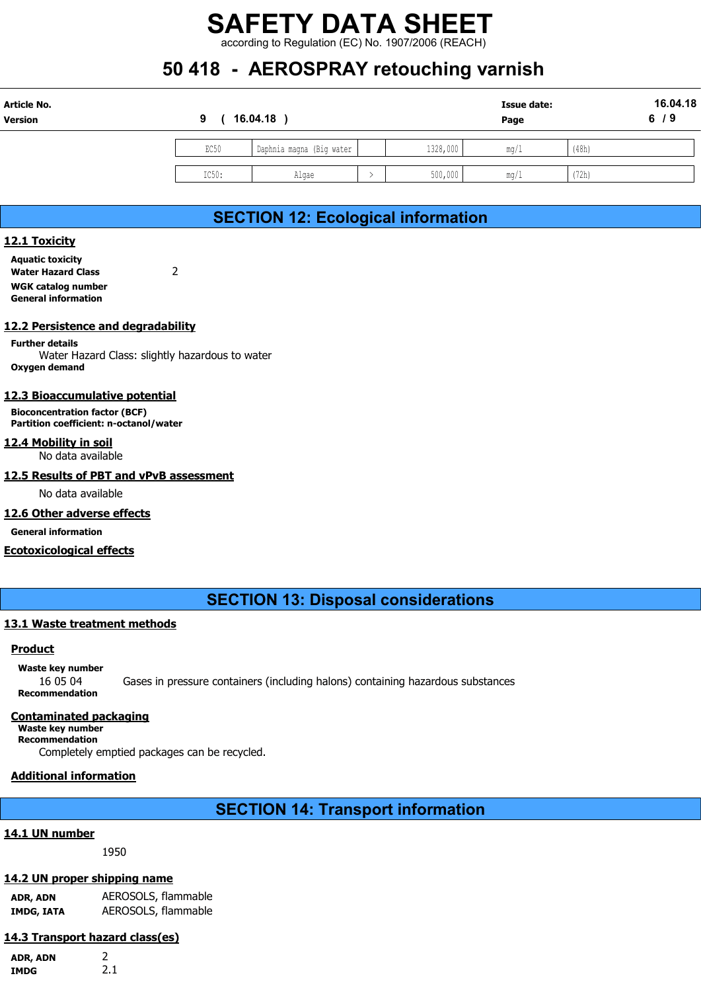## 50 418 - AEROSPRAY retouching varnish

|               |       | <b>SAFETY DATA SHEET</b>                           |                          |                    |       |          |
|---------------|-------|----------------------------------------------------|--------------------------|--------------------|-------|----------|
|               |       |                                                    |                          |                    |       |          |
|               |       |                                                    |                          |                    |       |          |
|               |       |                                                    |                          |                    |       |          |
|               |       | according to Regulation (EC) No. 1907/2006 (REACH) |                          |                    |       |          |
|               |       | 50 418 - AEROSPRAY retouching varnish              |                          |                    |       |          |
| Article No.   |       |                                                    |                          | <b>Issue date:</b> |       | 16.04.18 |
| Version       | 9     | 16.04.18)                                          |                          | Page               |       | 6/9      |
|               | EC50  | Daphnia magna (Big water                           | 1328,000                 | mg/1               | (48h) |          |
|               |       |                                                    |                          |                    |       |          |
|               | IC50: | Algae                                              | 500,000<br>$\rightarrow$ | mg/1               | (72h) |          |
|               |       |                                                    |                          |                    |       |          |
|               |       | <b>SECTION 12: Ecological information</b>          |                          |                    |       |          |
| 12.1 Toxicity |       |                                                    |                          |                    |       |          |

### SECTION 12: Ecological information

#### 12.1 Toxicity

Aquatic toxicity Water Hazard Class 2 WGK catalog number General information

#### 12.2 Persistence and degradability

Further details Water Hazard Class: slightly hazardous to water Oxygen demand

#### 12.3 Bioaccumulative potential

Bioconcentration factor (BCF) Partition coefficient: n-octanol/water

#### 12.4 Mobility in soil

No data available

12.5 Results of PBT and vPvB assessment

No data available

#### 12.6 Other adverse effects

General information

#### Ecotoxicological effects

SECTION 13: Disposal considerations

#### 13.1 Waste treatment methods

#### Product

Waste key number 16 05 04 Gases in pressure containers (including halons) containing hazardous substances Recommendation

#### Contaminated packaging

Waste key number Recommendation

Completely emptied packages can be recycled.

#### Additional information

SECTION 14: Transport information

#### 14.1 UN number

1950

#### 14.2 UN proper shipping name

ADR, ADN AEROSOLS, flammable IMDG, IATA AEROSOLS, flammable

#### 14.3 Transport hazard class(es)

ADR, ADN 2 IMDG 2.1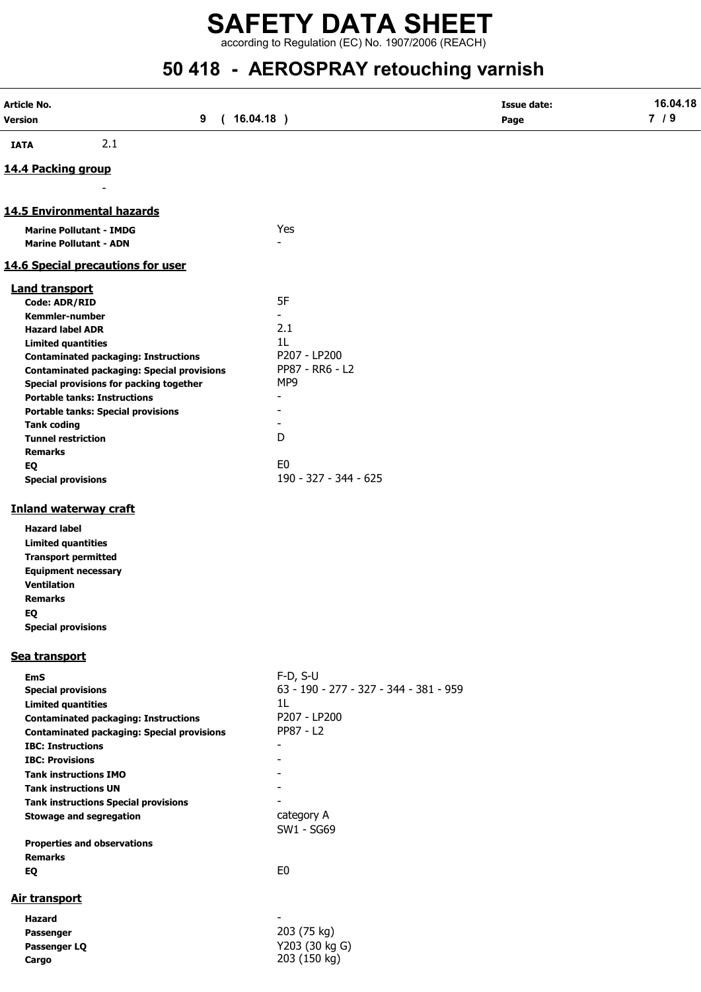according to Regulation (EC) No. 1907/2006 (REACH)

## 50 418 - AEROSPRAY retouching varnish

| Article No.                                                              |                                        | <b>Issue date:</b> | 16.04.18 |
|--------------------------------------------------------------------------|----------------------------------------|--------------------|----------|
| Version<br>9                                                             | (16.04.18)                             | Page               | 7/9      |
| 2.1<br><b>IATA</b>                                                       |                                        |                    |          |
|                                                                          |                                        |                    |          |
| 14.4 Packing group                                                       |                                        |                    |          |
|                                                                          |                                        |                    |          |
| 14.5 Environmental hazards                                               |                                        |                    |          |
| <b>Marine Pollutant - IMDG</b>                                           | Yes                                    |                    |          |
| <b>Marine Pollutant - ADN</b>                                            |                                        |                    |          |
| 14.6 Special precautions for user                                        |                                        |                    |          |
| <b>Land transport</b>                                                    |                                        |                    |          |
| Code: ADR/RID                                                            | 5F                                     |                    |          |
| Kemmler-number                                                           | $\overline{\phantom{0}}$               |                    |          |
| <b>Hazard label ADR</b>                                                  | 2.1                                    |                    |          |
| <b>Limited quantities</b><br><b>Contaminated packaging: Instructions</b> | 1 <sub>L</sub><br>P207 - LP200         |                    |          |
| <b>Contaminated packaging: Special provisions</b>                        | PP87 - RR6 - L2                        |                    |          |
| Special provisions for packing together                                  | MP9                                    |                    |          |
| <b>Portable tanks: Instructions</b>                                      |                                        |                    |          |
| <b>Portable tanks: Special provisions</b>                                |                                        |                    |          |
| <b>Tank coding</b>                                                       |                                        |                    |          |
| <b>Tunnel restriction</b>                                                | D                                      |                    |          |
| <b>Remarks</b>                                                           |                                        |                    |          |
| EQ                                                                       | E <sub>0</sub>                         |                    |          |
| <b>Special provisions</b>                                                | 190 - 327 - 344 - 625                  |                    |          |
| <b>Inland waterway craft</b>                                             |                                        |                    |          |
| <b>Hazard label</b>                                                      |                                        |                    |          |
| <b>Limited quantities</b>                                                |                                        |                    |          |
| <b>Transport permitted</b>                                               |                                        |                    |          |
| <b>Equipment necessary</b>                                               |                                        |                    |          |
| <b>Ventilation</b>                                                       |                                        |                    |          |
| <b>Remarks</b>                                                           |                                        |                    |          |
| EQ                                                                       |                                        |                    |          |
| <b>Special provisions</b>                                                |                                        |                    |          |
| Sea transport                                                            |                                        |                    |          |
| <b>EmS</b>                                                               | $F-D, S-U$                             |                    |          |
| <b>Special provisions</b>                                                | 63 - 190 - 277 - 327 - 344 - 381 - 959 |                    |          |
| <b>Limited quantities</b>                                                | 1L                                     |                    |          |
| <b>Contaminated packaging: Instructions</b>                              | P207 - LP200                           |                    |          |
| <b>Contaminated packaging: Special provisions</b>                        | PP87 - L2                              |                    |          |
| <b>IBC: Instructions</b><br><b>IBC: Provisions</b>                       | $\blacksquare$                         |                    |          |
| <b>Tank instructions IMO</b>                                             |                                        |                    |          |
| <b>Tank instructions UN</b>                                              |                                        |                    |          |
| <b>Tank instructions Special provisions</b>                              |                                        |                    |          |
| <b>Stowage and segregation</b>                                           | category A                             |                    |          |
|                                                                          | SW1 - SG69                             |                    |          |
| <b>Properties and observations</b>                                       |                                        |                    |          |
| <b>Remarks</b>                                                           |                                        |                    |          |
| EQ                                                                       | E <sub>0</sub>                         |                    |          |
| <b>Air transport</b>                                                     |                                        |                    |          |
| Hazard                                                                   |                                        |                    |          |
| Passenger                                                                | 203 (75 kg)                            |                    |          |
| Passenger LQ                                                             | Y203 (30 kg G)                         |                    |          |
| Cargo                                                                    | 203 (150 kg)                           |                    |          |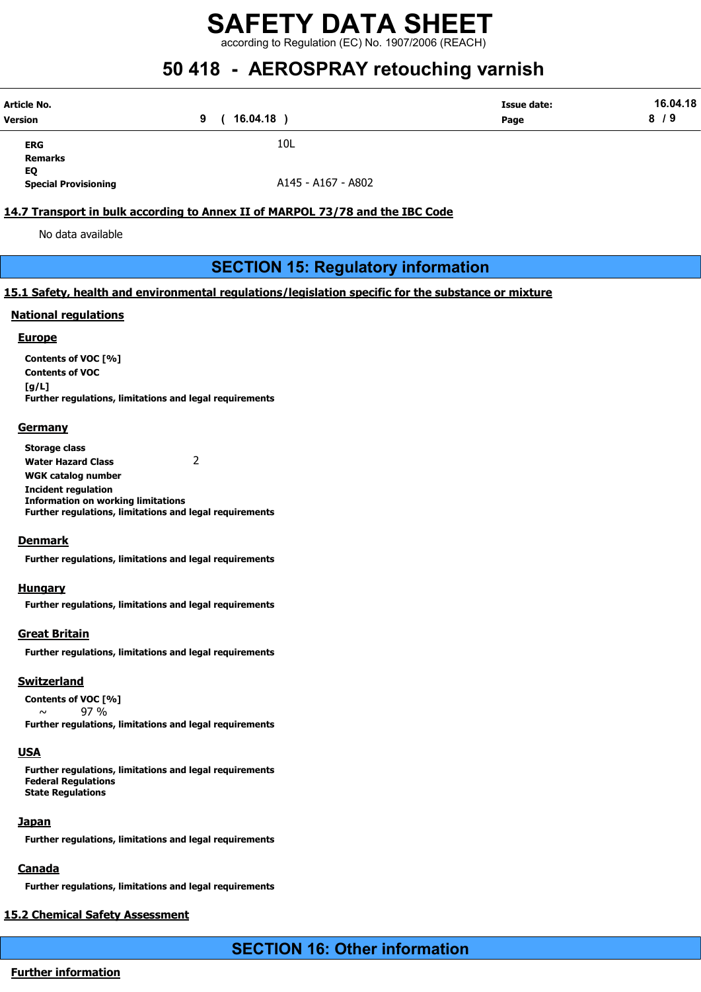according to Regulation (EC) No. 1907/2006 (REACH)

## 50 418 - AEROSPRAY retouching varnish

| Article No. | 16.04.18 | <b>Issue date:</b> | 16.04.18 |
|-------------|----------|--------------------|----------|
| Version     |          | Page               | 8/9      |
| <b>ERG</b>  | 10L      |                    |          |

Remarks EQ

Special Provisioning **A145 - A167 - A802** 

#### 14.7 Transport in bulk according to Annex II of MARPOL 73/78 and the IBC Code

No data available

#### SECTION 15: Regulatory information

#### 15.1 Safety, health and environmental regulations/legislation specific for the substance or mixture

#### National regulations

#### **Europe**

Contents of VOC [%] Contents of VOC [g/L] Further regulations, limitations and legal requirements

#### **Germany**

Storage class Water Hazard Class 2 WGK catalog number Incident regulation Information on working limitations Further regulations, limitations and legal requirements

#### **Denmark**

Further regulations, limitations and legal requirements

#### Hungary

Further regulations, limitations and legal requirements

#### Great Britain

Further regulations, limitations and legal requirements

#### Switzerland

Contents of VOC [%]  $\sim$  97 % Further regulations, limitations and legal requirements

#### **USA**

Further regulations, limitations and legal requirements Federal Regulations State Regulations

#### **Japan**

Further regulations, limitations and legal requirements

#### **Canada**

Further regulations, limitations and legal requirements

#### 15.2 Chemical Safety Assessment

SECTION 16: Other information

#### Further information